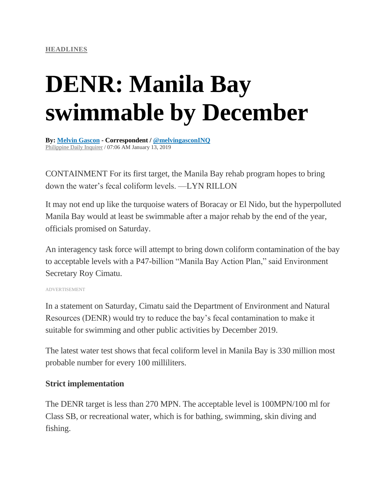# **DENR: Manila Bay swimmable by December**

**By: Melvin [Gascon](https://newsinfo.inquirer.net/byline/melvin-gascon) - Correspondent / [@melvingasconINQ](http://www.twitter.com/@melvingasconINQ)** [Philippine](https://newsinfo.inquirer.net/source/philippine-daily-inquirer) Daily Inquirer / 07:06 AM January 13, 2019

CONTAINMENT For its first target, the Manila Bay rehab program hopes to bring down the water's fecal coliform levels. —LYN RILLON

It may not end up like the turquoise waters of Boracay or El Nido, but the hyperpolluted Manila Bay would at least be swimmable after a major rehab by the end of the year, officials promised on Saturday.

An interagency task force will attempt to bring down coliform contamination of the bay to acceptable levels with a P47-billion "Manila Bay Action Plan," said Environment Secretary Roy Cimatu.

ADVERTISEMENT

In a statement on Saturday, Cimatu said the Department of Environment and Natural Resources (DENR) would try to reduce the bay's fecal contamination to make it suitable for swimming and other public activities by December 2019.

The latest water test shows that fecal coliform level in Manila Bay is 330 million most probable number for every 100 milliliters.

#### **Strict implementation**

The DENR target is less than 270 MPN. The acceptable level is 100MPN/100 ml for Class SB, or recreational water, which is for bathing, swimming, skin diving and fishing.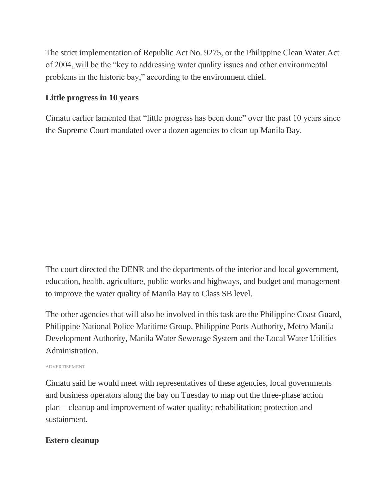The strict implementation of Republic Act No. 9275, or the Philippine Clean Water Act of 2004, will be the "key to addressing water quality issues and other environmental problems in the historic bay," according to the environment chief.

## **Little progress in 10 years**

Cimatu earlier lamented that "little progress has been done" over the past 10 years since the Supreme Court mandated over a dozen agencies to clean up Manila Bay.

The court directed the DENR and the departments of the interior and local government, education, health, agriculture, public works and highways, and budget and management to improve the water quality of Manila Bay to Class SB level.

The other agencies that will also be involved in this task are the Philippine Coast Guard, Philippine National Police Maritime Group, Philippine Ports Authority, Metro Manila Development Authority, Manila Water Sewerage System and the Local Water Utilities Administration.

#### ADVERTISEMENT

Cimatu said he would meet with representatives of these agencies, local governments and business operators along the bay on Tuesday to map out the three-phase action plan—cleanup and improvement of water quality; rehabilitation; protection and sustainment.

### **Estero cleanup**